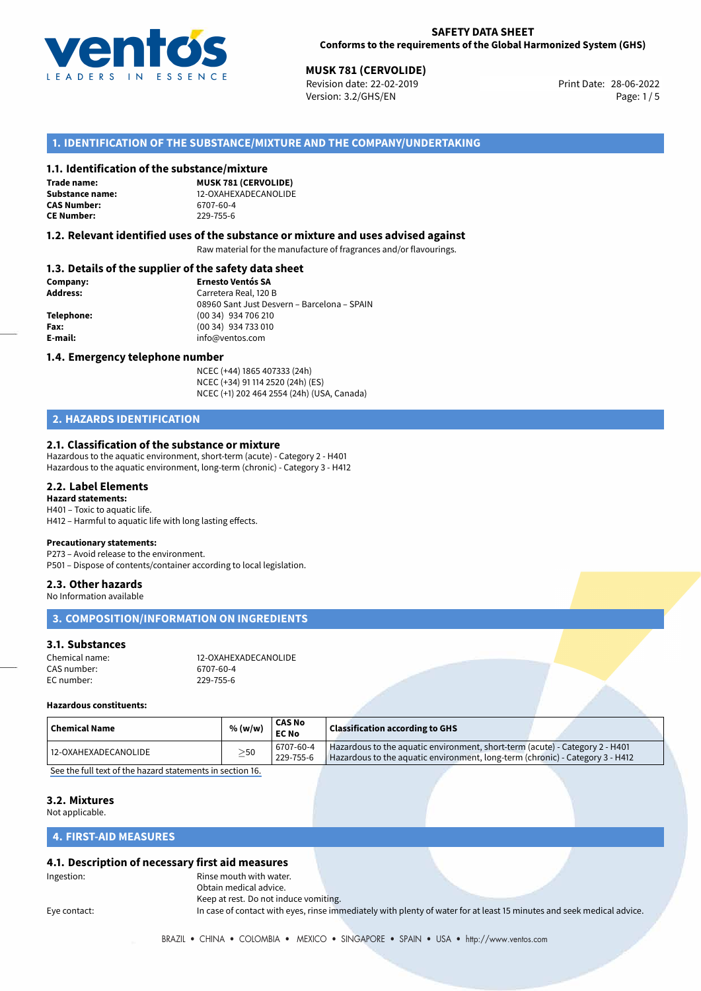

28-06-2022 **MUSK 781 (CERVOLIDE)** Revision date: 22-02-2019 Print Date: Version: 3.2/GHS/EN Page: 1/5

# **1. IDENTIFICATION OF THE SUBSTANCE/MIXTURE AND THE COMPANY/UNDERTAKING**

#### **1.1. Identification of the substance/mixture**

**Trade name: CAS Number: CE Number:** 229-755-6

**MUSK 781 (CERVOLIDE) Substance name:** 12-OXAHEXADECANOLIDE<br> **CAS Number:** 6707-60-4

#### **1.2. Relevant identified uses of the substance or mixture and uses advised against**

Raw material for the manufacture of fragrances and/or flavourings.

## **1.3. Details of the supplier of the safety data sheet**

| Company:   | <b>Ernesto Ventós SA</b>                    |
|------------|---------------------------------------------|
| Address:   | Carretera Real, 120 B                       |
|            | 08960 Sant Just Desvern - Barcelona - SPAIN |
| Telephone: | (00 34) 934 706 210                         |
| Fax:       | (00 34) 934 733 010                         |
| E-mail:    | info@ventos.com                             |
|            |                                             |

#### **1.4. Emergency telephone number**

NCEC (+44) 1865 407333 (24h) NCEC (+34) 91 114 2520 (24h) (ES) NCEC (+1) 202 464 2554 (24h) (USA, Canada)

# **2. HAZARDS IDENTIFICATION**

#### **2.1. Classification of the substance or mixture**

Hazardous to the aquatic environment, short-term (acute) - Category 2 - H401 Hazardous to the aquatic environment, long-term (chronic) - Category 3 - H412

#### **2.2. Label Elements**

#### **Hazard statements:**

H401 – Toxic to aquatic life. H412 – Harmful to aquatic life with long lasting effects.

#### **Precautionary statements:**

P273 – Avoid release to the environment. P501 – Dispose of contents/container according to local legislation.

#### **2.3. Other hazards**

No Information available

#### **3. COMPOSITION/INFORMATION ON INGREDIENTS**

#### **3.1. Substances**

| Chemical name: | 12-OXAHEXADECANOLIDE |
|----------------|----------------------|
| CAS number:    | 6707-60-4            |
| EC number:     | 229-755-6            |

#### **Hazardous constituents:**

| $\mid$ Chemical Name | % (w/w)   | CAS No<br><b>EC No</b> | <b>Classification according to GHS</b>                                                                                                                        |
|----------------------|-----------|------------------------|---------------------------------------------------------------------------------------------------------------------------------------------------------------|
| 12-OXAHEXADECANOLIDE | $\geq$ 50 | 6707-60-4<br>229-755-6 | Hazardous to the aquatic environment, short-term (acute) - Category 2 - H401<br>Hazardous to the aquatic environment, long-term (chronic) - Category 3 - H412 |

[See the full text of the hazard statements in section 16.](#page--1-0)

#### **3.2. Mixtures**

Not applicable.

### **4. FIRST-AID MEASURES**

#### **4.1. Description of necessary first aid measures**

| Ingestion: |  |
|------------|--|

Rinse mouth with water. Obtain medical advice. Keep at rest. Do not induce vomiting.

Eye contact: In case of contact with eyes, rinse immediately with plenty of water for at least 15 minutes and seek medical advice.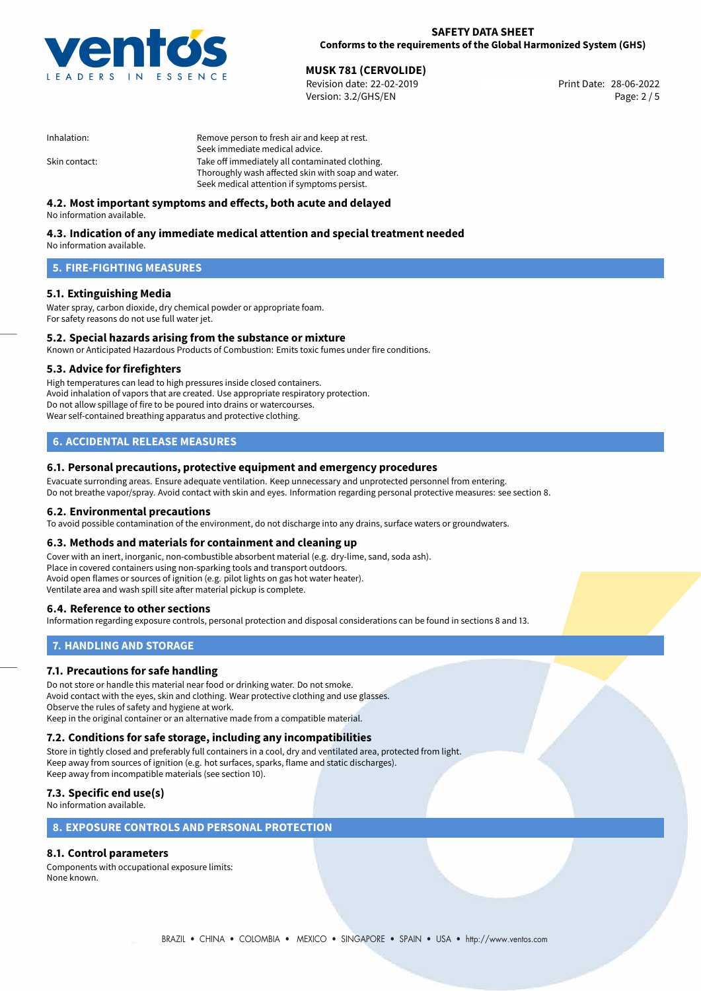

28-06-2022 **MUSK 781 (CERVOLIDE)** Revision date: 22-02-2019 Print Date: Version: 3.2/GHS/EN Page: 2 / 5

| Remove person to fresh air and keep at rest.       |
|----------------------------------------------------|
| Seek immediate medical advice.                     |
| Take off immediately all contaminated clothing.    |
| Thoroughly wash affected skin with soap and water. |
| Seek medical attention if symptoms persist.        |
|                                                    |

# **4.2. Most important symptoms and effects, both acute and delayed**

No information available.

# **4.3. Indication of any immediate medical attention and special treatment needed**

No information available.

# **5. FIRE-FIGHTING MEASURES**

## **5.1. Extinguishing Media**

Water spray, carbon dioxide, dry chemical powder or appropriate foam. For safety reasons do not use full water jet.

# **5.2. Special hazards arising from the substance or mixture**

Known or Anticipated Hazardous Products of Combustion: Emits toxic fumes under fire conditions.

#### **5.3. Advice for firefighters**

High temperatures can lead to high pressures inside closed containers. Avoid inhalation of vapors that are created. Use appropriate respiratory protection. Do not allow spillage of fire to be poured into drains or watercourses. Wear self-contained breathing apparatus and protective clothing.

# **6. ACCIDENTAL RELEASE MEASURES**

#### **6.1. Personal precautions, protective equipment and emergency procedures**

Evacuate surronding areas. Ensure adequate ventilation. Keep unnecessary and unprotected personnel from entering. Do not breathe vapor/spray. Avoid contact with skin and eyes. Information regarding personal protective measures: see section 8.

#### **6.2. Environmental precautions**

To avoid possible contamination of the environment, do not discharge into any drains, surface waters or groundwaters.

#### **6.3. Methods and materials for containment and cleaning up**

Cover with an inert, inorganic, non-combustible absorbent material (e.g. dry-lime, sand, soda ash). Place in covered containers using non-sparking tools and transport outdoors. Avoid open flames or sources of ignition (e.g. pilot lights on gas hot water heater). Ventilate area and wash spill site after material pickup is complete.

## **6.4. Reference to other sections**

Information regarding exposure controls, personal protection and disposal considerations can be found in sections 8 and 13.

# **7. HANDLING AND STORAGE**

## **7.1. Precautions for safe handling**

Do not store or handle this material near food or drinking water. Do not smoke. Avoid contact with the eyes, skin and clothing. Wear protective clothing and use glasses. Observe the rules of safety and hygiene at work. Keep in the original container or an alternative made from a compatible material.

# **7.2. Conditions for safe storage, including any incompatibilities**

Store in tightly closed and preferably full containers in a cool, dry and ventilated area, protected from light. Keep away from sources of ignition (e.g. hot surfaces, sparks, flame and static discharges). Keep away from incompatible materials (see section 10).

# **7.3. Specific end use(s)**

No information available.

## **8. EXPOSURE CONTROLS AND PERSONAL PROTECTION**

# **8.1. Control parameters**

Components with occupational exposure limits: None known.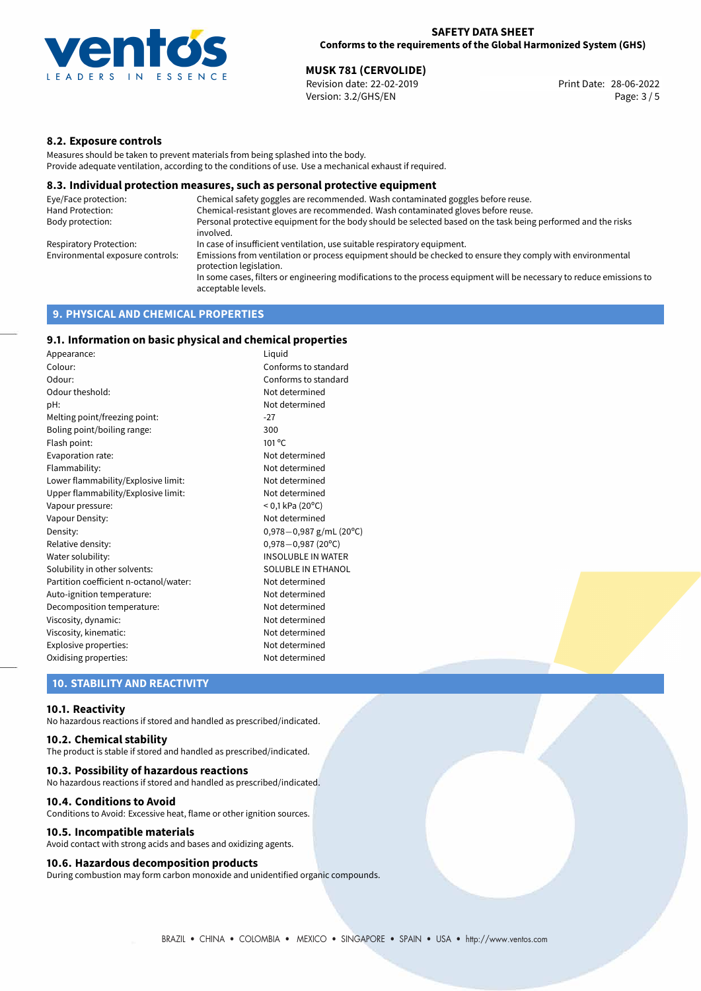

28-06-2022 **MUSK 781 (CERVOLIDE)** Revision date: 22-02-2019 Print Date: Version: 3.2/GHS/EN Page: 3 / 5

# **8.2. Exposure controls**

Measures should be taken to prevent materials from being splashed into the body. Provide adequate ventilation, according to the conditions of use. Use a mechanical exhaust if required.

#### **8.3. Individual protection measures, such as personal protective equipment**

| Eye/Face protection:             | Chemical safety goggles are recommended. Wash contaminated goggles before reuse.                                                            |
|----------------------------------|---------------------------------------------------------------------------------------------------------------------------------------------|
| Hand Protection:                 | Chemical-resistant gloves are recommended. Wash contaminated gloves before reuse.                                                           |
| Body protection:                 | Personal protective equipment for the body should be selected based on the task being performed and the risks<br>involved.                  |
| Respiratory Protection:          | In case of insufficient ventilation, use suitable respiratory equipment.                                                                    |
| Environmental exposure controls: | Emissions from ventilation or process equipment should be checked to ensure they comply with environmental<br>protection legislation.       |
|                                  | In some cases, filters or engineering modifications to the process equipment will be necessary to reduce emissions to<br>acceptable levels. |
|                                  |                                                                                                                                             |

# **9. PHYSICAL AND CHEMICAL PROPERTIES**

# **9.1. Information on basic physical and chemical properties**

| Appearance:                            | Liguid                        |
|----------------------------------------|-------------------------------|
| Colour:                                | Conforms to standard          |
| Odour:                                 | Conforms to standard          |
| Odour theshold:                        | Not determined                |
| pH:                                    | Not determined                |
| Melting point/freezing point:          | $-27$                         |
| Boling point/boiling range:            | 300                           |
| Flash point:                           | $101^{\circ}$ C               |
| Evaporation rate:                      | Not determined                |
| Flammability:                          | Not determined                |
| Lower flammability/Explosive limit:    | Not determined                |
| Upper flammability/Explosive limit:    | Not determined                |
| Vapour pressure:                       | $<$ 0,1 kPa (20 $^{\circ}$ C) |
| Vapour Density:                        | Not determined                |
| Density:                               | 0,978 $-0$ ,987 g/mL (20°C)   |
| Relative density:                      | $0,978 - 0,987$ (20°C)        |
| Water solubility:                      | <b>INSOLUBLE IN WATER</b>     |
| Solubility in other solvents:          | SOLUBLE IN ETHANOL            |
| Partition coefficient n-octanol/water: | Not determined                |
| Auto-ignition temperature:             | Not determined                |
| Decomposition temperature:             | Not determined                |
| Viscosity, dynamic:                    | Not determined                |
| Viscosity, kinematic:                  | Not determined                |
| Explosive properties:                  | Not determined                |
| Oxidising properties:                  | Not determined                |

# **10. STABILITY AND REACTIVITY**

#### **10.1. Reactivity**

No hazardous reactions if stored and handled as prescribed/indicated.

## **10.2. Chemical stability**

The product is stable if stored and handled as prescribed/indicated.

#### **10.3. Possibility of hazardous reactions**

No hazardous reactions if stored and handled as prescribed/indicated.

#### **10.4. Conditions to Avoid**

Conditions to Avoid: Excessive heat, flame or other ignition sources.

#### **10.5. Incompatible materials**

Avoid contact with strong acids and bases and oxidizing agents.

#### **10.6. Hazardous decomposition products**

During combustion may form carbon monoxide and unidentified organic compounds.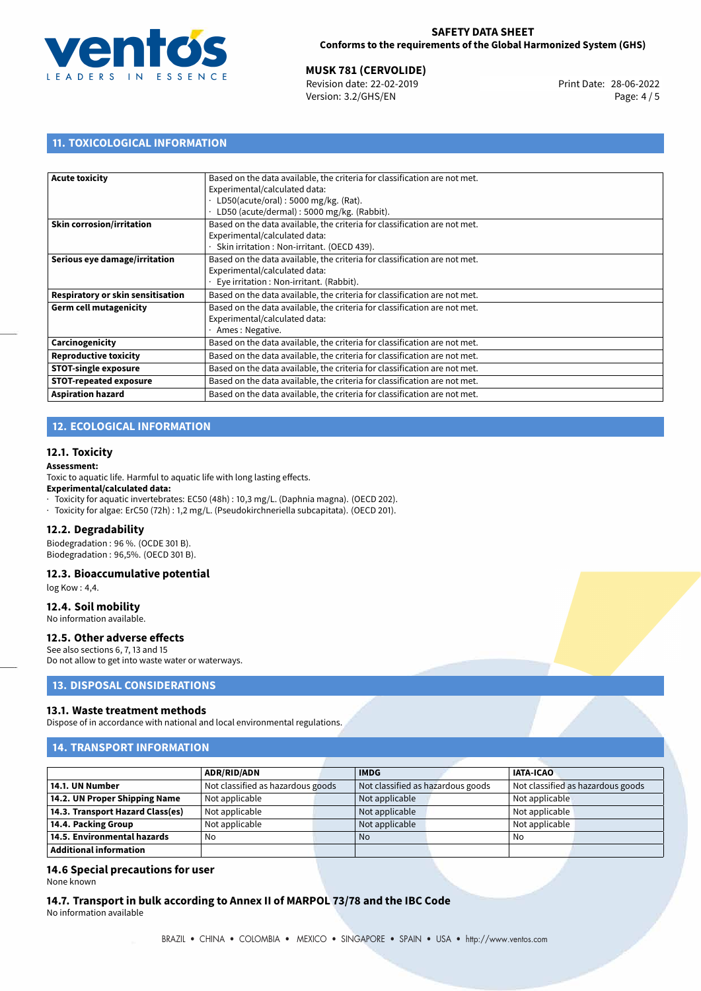

# **MUSK 781 (CERVOLIDE)**<br>
Revision date: 22-02-2019<br> **Print Date: 28-06-2022**

Revision date: 22-02-2019 Version: 3.2/GHS/EN Page: 4 / 5

# **11. TOXICOLOGICAL INFORMATION**

| <b>Acute toxicity</b>             | Based on the data available, the criteria for classification are not met. |
|-----------------------------------|---------------------------------------------------------------------------|
|                                   | Experimental/calculated data:                                             |
|                                   | LD50(acute/oral): 5000 mg/kg. (Rat).                                      |
|                                   | LD50 (acute/dermal): 5000 mg/kg. (Rabbit).                                |
| <b>Skin corrosion/irritation</b>  | Based on the data available, the criteria for classification are not met. |
|                                   | Experimental/calculated data:                                             |
|                                   | Skin irritation : Non-irritant. (OECD 439).                               |
| Serious eye damage/irritation     | Based on the data available, the criteria for classification are not met. |
|                                   | Experimental/calculated data:                                             |
|                                   | Eye irritation : Non-irritant. (Rabbit).                                  |
| Respiratory or skin sensitisation | Based on the data available, the criteria for classification are not met. |
| <b>Germ cell mutagenicity</b>     | Based on the data available, the criteria for classification are not met. |
|                                   | Experimental/calculated data:                                             |
|                                   | Ames: Negative.                                                           |
| Carcinogenicity                   | Based on the data available, the criteria for classification are not met. |
| <b>Reproductive toxicity</b>      | Based on the data available, the criteria for classification are not met. |
| <b>STOT-single exposure</b>       | Based on the data available, the criteria for classification are not met. |
| <b>STOT-repeated exposure</b>     | Based on the data available, the criteria for classification are not met. |
| <b>Aspiration hazard</b>          | Based on the data available, the criteria for classification are not met. |
|                                   |                                                                           |

# **12. ECOLOGICAL INFORMATION**

## **12.1. Toxicity**

**Assessment:**

Toxic to aquatic life. Harmful to aquatic life with long lasting effects.

#### **Experimental/calculated data:**

· Toxicity for aquatic invertebrates: EC50 (48h) : 10,3 mg/L. (Daphnia magna). (OECD 202).

· Toxicity for algae: ErC50 (72h) : 1,2 mg/L. (Pseudokirchneriella subcapitata). (OECD 201).

#### **12.2. Degradability**

Biodegradation : 96 %. (OCDE 301 B). Biodegradation : 96,5%. (OECD 301 B).

#### **12.3. Bioaccumulative potential**

log Kow : 4,4.

#### **12.4. Soil mobility**

No information available.

# **12.5. Other adverse effects**

See also sections 6, 7, 13 and 15 Do not allow to get into waste water or waterways.

# **13. DISPOSAL CONSIDERATIONS**

#### **13.1. Waste treatment methods**

Dispose of in accordance with national and local environmental regulations.

# **14. TRANSPORT INFORMATION**

|                                  | <b>ADR/RID/ADN</b>                | <b>IMDG</b>                       |  | <b>IATA-ICAO</b> |                                   |
|----------------------------------|-----------------------------------|-----------------------------------|--|------------------|-----------------------------------|
| 14.1. UN Number                  | Not classified as hazardous goods | Not classified as hazardous goods |  |                  | Not classified as hazardous goods |
| 14.2. UN Proper Shipping Name    | Not applicable                    | Not applicable                    |  | Not applicable   |                                   |
| 14.3. Transport Hazard Class(es) | Not applicable                    | Not applicable                    |  | Not applicable   |                                   |
| 14.4. Packing Group              | Not applicable                    | Not applicable                    |  | Not applicable   |                                   |
| 14.5. Environmental hazards      | No                                | <b>No</b>                         |  | l No             |                                   |
| Additional information           |                                   |                                   |  |                  |                                   |

# **14.6 Special precautions for user**

None known

**14.7. Transport in bulk according to Annex II of MARPOL 73/78 and the IBC Code** No information available